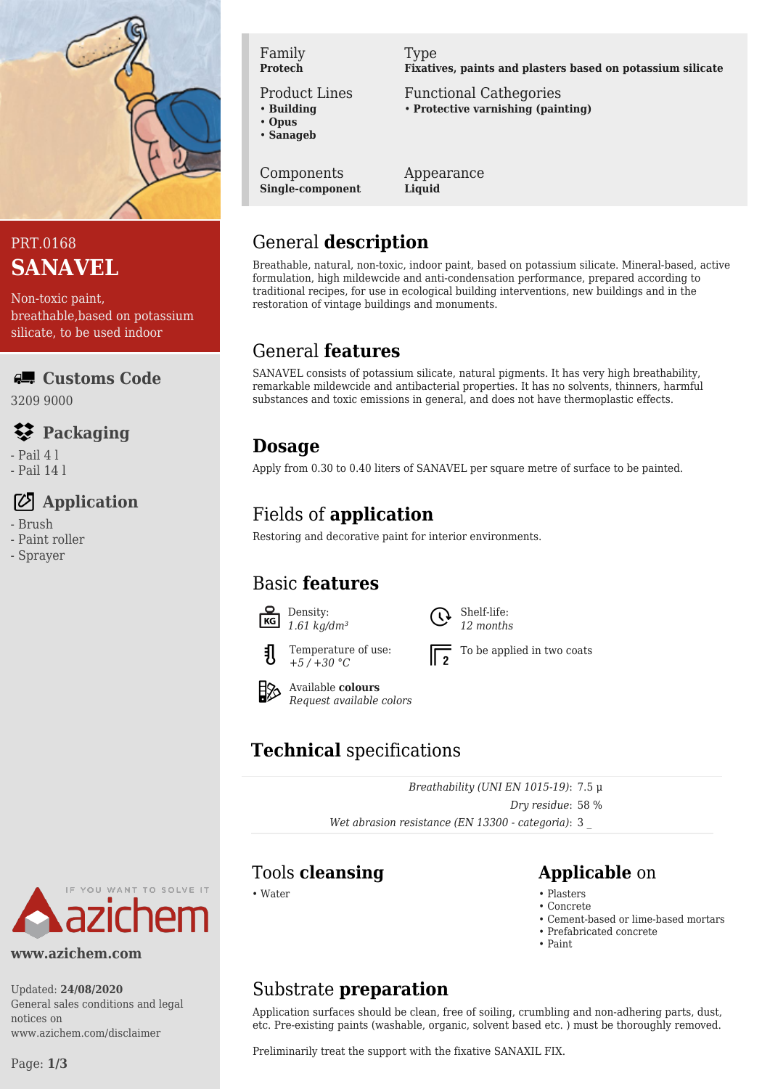

# PRT.0168 **SANAVEL**

Non-toxic paint, breathable,based on potassium silicate, to be used indoor

#### **Customs Code**

3209 9000

#### **Packaging**

- Pail 4 l
- Pail 14 l

# **Application**

- Brush
- Paint roller
- Sprayer

Family **Protech**

Product Lines

- **Building**
- **Opus** • **Sanageb**

Components

**Single-component**

Type **Fixatives, paints and plasters based on potassium silicate**

Functional Cathegories • **Protective varnishing (painting)**

Appearance **Liquid**

# General **description**

Breathable, natural, non-toxic, indoor paint, based on potassium silicate. Mineral-based, active formulation, high mildewcide and anti-condensation performance, prepared according to traditional recipes, for use in ecological building interventions, new buildings and in the restoration of vintage buildings and monuments.

# General **features**

SANAVEL consists of potassium silicate, natural pigments. It has very high breathability, remarkable mildewcide and antibacterial properties. It has no solvents, thinners, harmful substances and toxic emissions in general, and does not have thermoplastic effects.

### **Dosage**

Apply from 0.30 to 0.40 liters of SANAVEL per square metre of surface to be painted.

# Fields of **application**

Restoring and decorative paint for interior environments.

# Basic **features**



*1.61 kg/dm³* Temperature of use:

*+5 / +30 °C*



To be applied in two coats



Available **colours** *Request available colors*

# **Technical** specifications

*Breathability (UNI EN 1015-19)*: 7.5 μ *Dry residue*: 58 % *Wet abrasion resistance (EN 13300 - categoria)*: 3 \_

#### Tools **cleansing Applicable** on

- Water Plasters Plasters Plasters Plasters Plasters Plasters Plasters Plasters Plasters Plasters Plasters Plasters Plasters Plasters Plasters Plasters Plasters Plasters Plasters Pla
	- Concrete
	- Cement-based or lime-based mortars
	- Prefabricated concrete
	- Paint

# **www.azichem.com** Updated: **24/08/2020**

YOU WANT TO SOLVE IT

General sales conditions and legal notices on www.azichem.com/disclaimer

#### etc. Pre-existing paints (washable, organic, solvent based etc. ) must be thoroughly removed.

Substrate **preparation**

Preliminarily treat the support with the fixative SANAXIL FIX.

Application surfaces should be clean, free of soiling, crumbling and non-adhering parts, dust,

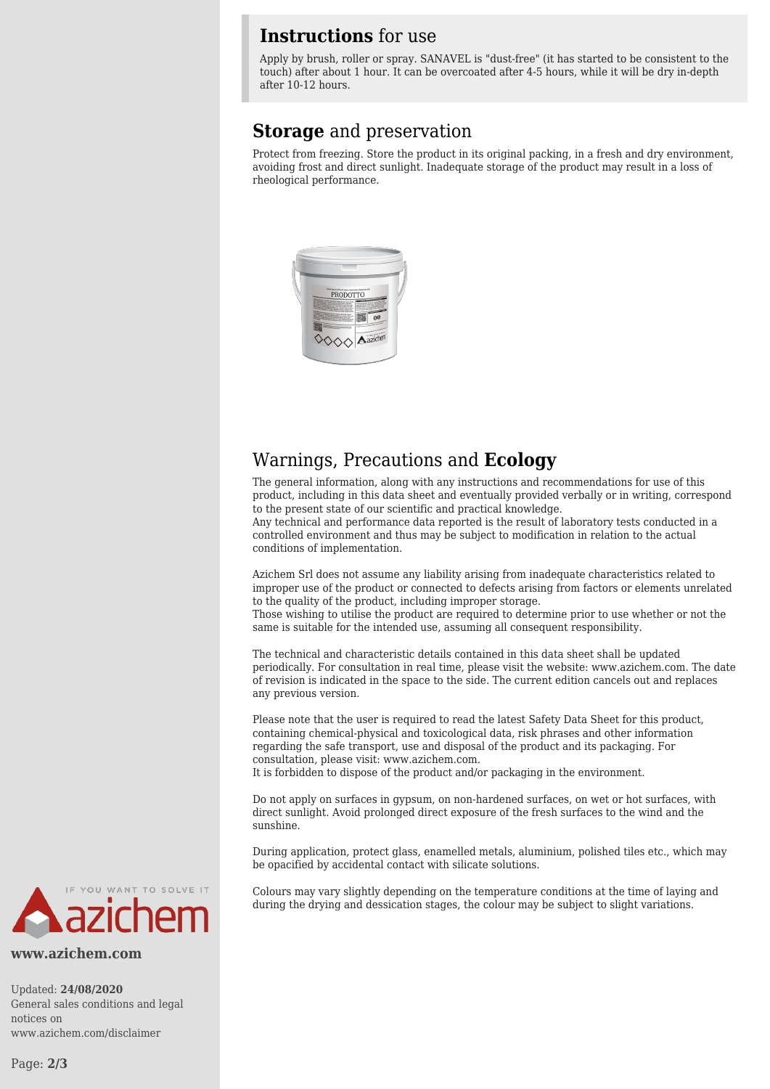#### **Instructions** for use

Apply by brush, roller or spray. SANAVEL is "dust-free" (it has started to be consistent to the touch) after about 1 hour. It can be overcoated after 4-5 hours, while it will be dry in-depth after 10-12 hours.

#### **Storage** and preservation

Protect from freezing. Store the product in its original packing, in a fresh and dry environment, avoiding frost and direct sunlight. Inadequate storage of the product may result in a loss of rheological performance.



#### Warnings, Precautions and **Ecology**

The general information, along with any instructions and recommendations for use of this product, including in this data sheet and eventually provided verbally or in writing, correspond to the present state of our scientific and practical knowledge.

Any technical and performance data reported is the result of laboratory tests conducted in a controlled environment and thus may be subject to modification in relation to the actual conditions of implementation.

Azichem Srl does not assume any liability arising from inadequate characteristics related to improper use of the product or connected to defects arising from factors or elements unrelated to the quality of the product, including improper storage.

Those wishing to utilise the product are required to determine prior to use whether or not the same is suitable for the intended use, assuming all consequent responsibility.

The technical and characteristic details contained in this data sheet shall be updated periodically. For consultation in real time, please visit the website: www.azichem.com. The date of revision is indicated in the space to the side. The current edition cancels out and replaces any previous version.

Please note that the user is required to read the latest Safety Data Sheet for this product, containing chemical-physical and toxicological data, risk phrases and other information regarding the safe transport, use and disposal of the product and its packaging. For consultation, please visit: www.azichem.com.

It is forbidden to dispose of the product and/or packaging in the environment.

Do not apply on surfaces in gypsum, on non-hardened surfaces, on wet or hot surfaces, with direct sunlight. Avoid prolonged direct exposure of the fresh surfaces to the wind and the sunshine.

During application, protect glass, enamelled metals, aluminium, polished tiles etc., which may be opacified by accidental contact with silicate solutions.

Colours may vary slightly depending on the temperature conditions at the time of laying and during the drying and dessication stages, the colour may be subject to slight variations.



**www.azichem.com**

Updated: **24/08/2020** General sales conditions and legal notices on www.azichem.com/disclaimer

Page: **2/3**